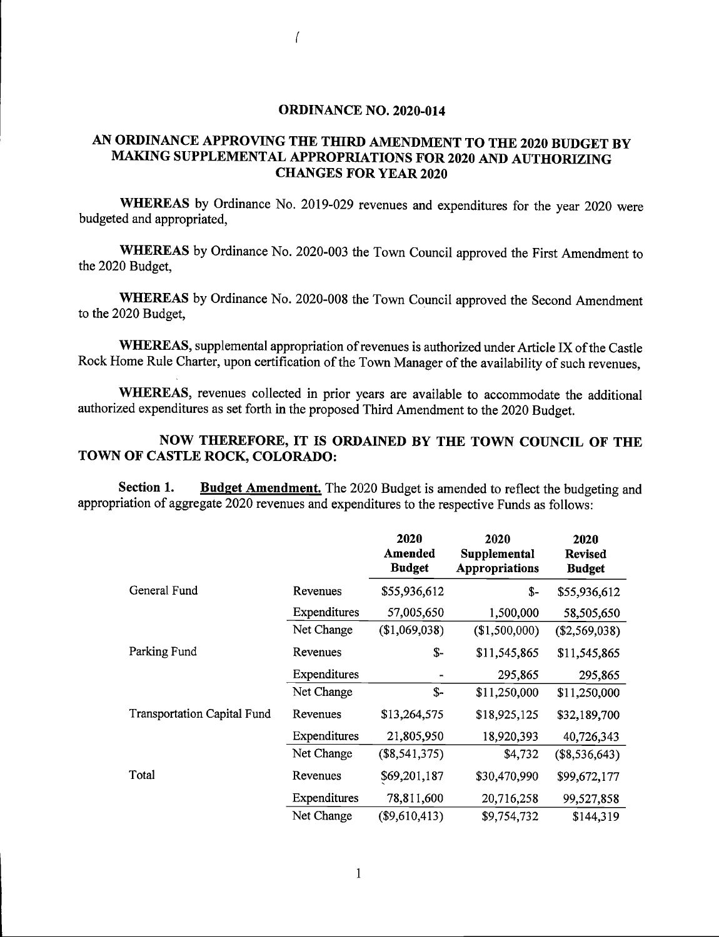## ORDINANCE NO. 2020-014

 $\sqrt{ }$ 

## AN ORDINANCE APPROVING THE THIRD AMENDMENT TO THE 2020 BUDGET BY MAKING SUPPLEMENTAL APPROPRIATIONS FOR 2020 AND AUTHORIZING CHANGES FOR YEAR 2020

WHEREAS by Ordinance No. 2019-029 revenues and expenditures for the year 2020 were budgeted and appropriated,

WHEREAS by Ordinance No. 2020-003 the Town Council approved the First Amendment to the 2020 Budget,

WHEREAS by Ordinance No. 2020-008 the Town Council approved the Second Amendment to the 2020 Budget,

WHEREAS, supplemental appropriation of revenues is authorized under Article IX of the Castle Rock Home Rule Charter, upon certification of the Town Manager of the availability of such revenues,

WHEREAS, revenues collected in prior years are available to accommodate the additional authorized expenditures as set forth in the proposed Third Amendment to the 2020 Budget.

## NOW THEREFORE, IT IS ORDAINED BY THE TOWN COUNCIL OF THE TOWN OF CASTLE ROCK, COLORADO:

Section 1. Budget Amendment. The 2020 Budget is amended to reflect the budgeting and appropriation of aggregate 2020 revenues and expenditures to the respective Funds as follows:

|                                    |              | 2020<br>Amended<br><b>Budget</b> | 2020<br>Supplemental<br>Appropriations | 2020<br><b>Revised</b><br><b>Budget</b> |
|------------------------------------|--------------|----------------------------------|----------------------------------------|-----------------------------------------|
| General Fund                       | Revenues     | \$55,936,612                     | \$-                                    | \$55,936,612                            |
|                                    | Expenditures | 57,005,650                       | 1,500,000                              | 58,505,650                              |
|                                    | Net Change   | (\$1,069,038)                    | (\$1,500,000)                          | (\$2,569,038)                           |
| Parking Fund                       | Revenues     | $S-$                             | \$11,545,865                           | \$11,545,865                            |
|                                    | Expenditures | -                                | 295,865                                | 295,865                                 |
|                                    | Net Change   | \$-                              | \$11,250,000                           | \$11,250,000                            |
| <b>Transportation Capital Fund</b> | Revenues     | \$13,264,575                     | \$18,925,125                           | \$32,189,700                            |
|                                    | Expenditures | 21,805,950                       | 18,920,393                             | 40,726,343                              |
|                                    | Net Change   | $(\$8,541,375)$                  | \$4,732                                | $(\$8,536,643)$                         |
| Total                              | Revenues     | \$69,201,187                     | \$30,470,990                           | \$99,672,177                            |
|                                    | Expenditures | 78,811,600                       | 20,716,258                             | 99,527,858                              |
|                                    | Net Change   | (\$9,610,413)                    | \$9,754,732                            | \$144,319                               |